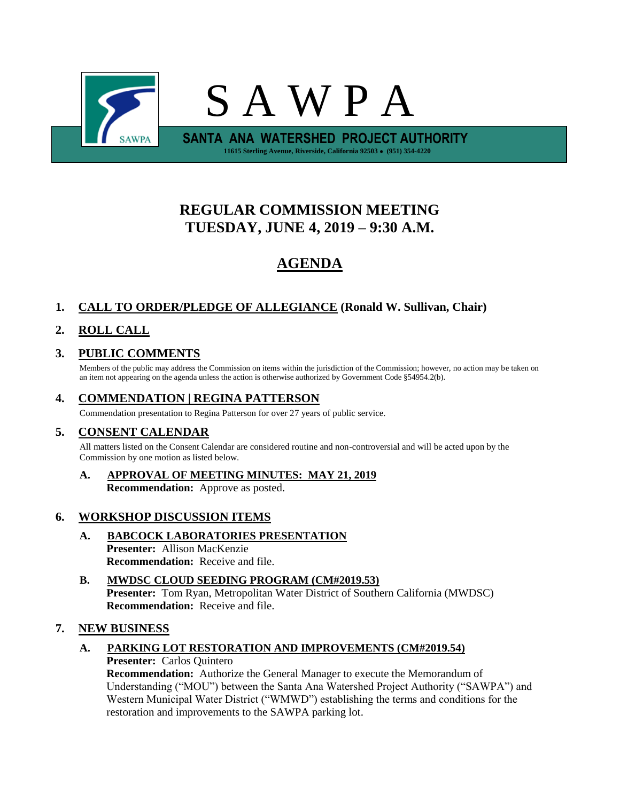

# **REGULAR COMMISSION MEETING TUESDAY, JUNE 4, 2019 – 9:30 A.M.**

# **AGENDA**

## **1. CALL TO ORDER/PLEDGE OF ALLEGIANCE (Ronald W. Sullivan, Chair)**

## **2. ROLL CALL**

## **3. PUBLIC COMMENTS**

Members of the public may address the Commission on items within the jurisdiction of the Commission; however, no action may be taken on an item not appearing on the agenda unless the action is otherwise authorized by Government Code §54954.2(b).

### **4. COMMENDATION | REGINA PATTERSON**

Commendation presentation to Regina Patterson for over 27 years of public service.

### **5. CONSENT CALENDAR**

All matters listed on the Consent Calendar are considered routine and non-controversial and will be acted upon by the Commission by one motion as listed below.

**A. APPROVAL OF MEETING MINUTES: MAY 21, 2019 Recommendation:** Approve as posted.

### **6. WORKSHOP DISCUSSION ITEMS**

- **A. BABCOCK LABORATORIES PRESENTATION Presenter:** Allison MacKenzie **Recommendation:** Receive and file.
- **B. MWDSC CLOUD SEEDING PROGRAM (CM#2019.53) Presenter:** Tom Ryan, Metropolitan Water District of Southern California (MWDSC) **Recommendation:** Receive and file.

### **7. NEW BUSINESS**

### **A. PARKING LOT RESTORATION AND IMPROVEMENTS (CM#2019.54)**

#### **Presenter:** Carlos Quintero

**Recommendation:** Authorize the General Manager to execute the Memorandum of Understanding ("MOU") between the Santa Ana Watershed Project Authority ("SAWPA") and Western Municipal Water District ("WMWD") establishing the terms and conditions for the restoration and improvements to the SAWPA parking lot.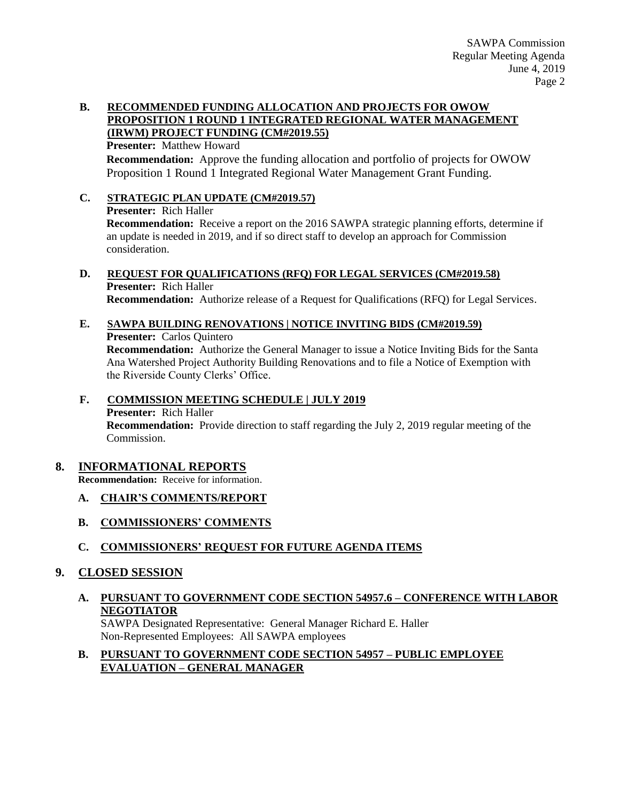#### **B. RECOMMENDED FUNDING ALLOCATION AND PROJECTS FOR OWOW PROPOSITION 1 ROUND 1 INTEGRATED REGIONAL WATER MANAGEMENT (IRWM) PROJECT FUNDING (CM#2019.55)**

**Presenter:** Matthew Howard **Recommendation:** Approve the funding allocation and portfolio of projects for OWOW Proposition 1 Round 1 Integrated Regional Water Management Grant Funding.

**C. STRATEGIC PLAN UPDATE (CM#2019.57) Presenter:** Rich Haller **Recommendation:** Receive a report on the 2016 SAWPA strategic planning efforts, determine if an update is needed in 2019, and if so direct staff to develop an approach for Commission consideration.

#### **D. REQUEST FOR QUALIFICATIONS (RFQ) FOR LEGAL SERVICES (CM#2019.58) Presenter:** Rich Haller **Recommendation:** Authorize release of a Request for Qualifications (RFQ) for Legal Services.

**E. SAWPA BUILDING RENOVATIONS | NOTICE INVITING BIDS (CM#2019.59) Presenter:** Carlos Quintero **Recommendation:** Authorize the General Manager to issue a Notice Inviting Bids for the Santa Ana Watershed Project Authority Building Renovations and to file a Notice of Exemption with the Riverside County Clerks' Office.

#### **F. COMMISSION MEETING SCHEDULE | JULY 2019 Presenter:** Rich Haller **Recommendation:** Provide direction to staff regarding the July 2, 2019 regular meeting of the Commission.

### **8. INFORMATIONAL REPORTS**

**Recommendation:** Receive for information.

- **A. CHAIR'S COMMENTS/REPORT**
- **B. COMMISSIONERS' COMMENTS**
- **C. COMMISSIONERS' REQUEST FOR FUTURE AGENDA ITEMS**
- **9. CLOSED SESSION**
	- **A. PURSUANT TO GOVERNMENT CODE SECTION 54957.6 – CONFERENCE WITH LABOR NEGOTIATOR**

SAWPA Designated Representative: General Manager Richard E. Haller Non-Represented Employees: All SAWPA employees

**B. PURSUANT TO GOVERNMENT CODE SECTION 54957 – PUBLIC EMPLOYEE EVALUATION – GENERAL MANAGER**